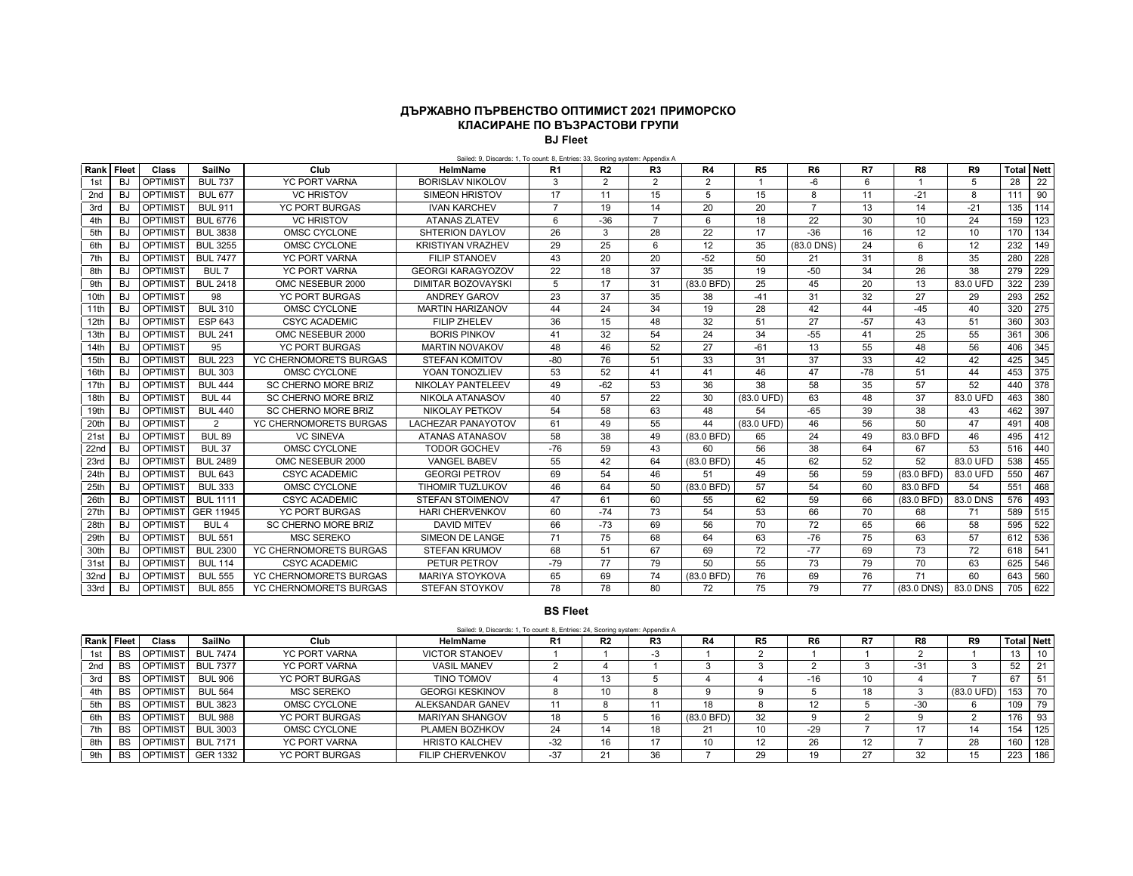## **ДЪРЖАВНО ПЪРВЕНСТВО ОПТИМИСТ 2021 ПРИМОРСКО КЛАСИРАНЕ ПО ВЪЗРАСТОВИ ГРУПИ BJ Fleet**

Sailed: 9, Discards: 1, To count: 8, Entries: 33, Scoring system: Appendix A

| Rank Fleet       |           | Class           | SailNo           | Club                       | <b>HelmName</b>           | R <sub>1</sub> | R <sub>2</sub> | R <sub>3</sub> | R <sub>4</sub> | R <sub>5</sub>       | R <sub>6</sub> | R7    | R8         | R <sub>9</sub> | <b>Total</b> | <b>Nett</b> |
|------------------|-----------|-----------------|------------------|----------------------------|---------------------------|----------------|----------------|----------------|----------------|----------------------|----------------|-------|------------|----------------|--------------|-------------|
| 1st              | <b>BJ</b> | OPTIMIST        | <b>BUL 737</b>   | <b>YC PORT VARNA</b>       | <b>BORISLAV NIKOLOV</b>   | 3              | $\overline{2}$ | $\overline{2}$ | 2              |                      | -6             | 6     |            | 5              | 28           | 22          |
| 2nd              | <b>BJ</b> | OPTIMIST        | <b>BUL 677</b>   | <b>VC HRISTOV</b>          | <b>SIMEON HRISTOV</b>     | 17             | 11             | 15             | 5              | 15                   | 8              | 11    | $-21$      | 8              | 111          | 90          |
| 3rd              | <b>BJ</b> | OPTIMIST        | <b>BUL 911</b>   | <b>YC PORT BURGAS</b>      | <b>IVAN KARCHEV</b>       | $\overline{7}$ | 19             | 14             | 20             | 20                   | $\overline{7}$ | 13    | 14         | $-21$          | 135          | 114         |
| 4th              | <b>BJ</b> | OPTIMIST        | <b>BUL 6776</b>  | <b>VC HRISTOV</b>          | <b>ATANAS ZLATEV</b>      | 6              | $-36$          | $\overline{7}$ | 6              | 18                   | 22             | 30    | 10         | 24             | 159          | 123         |
| 5th              | <b>BJ</b> | OPTIMIST        | <b>BUL 3838</b>  | OMSC CYCLONE               | SHTERION DAYLOV           | 26             | 3              | 28             | 22             | 17                   | $-36$          | 16    | 12         | 10             | 170          | 134         |
| 6th              | <b>BJ</b> | OPTIMIST        | <b>BUL 3255</b>  | OMSC CYCLONE               | <b>KRISTIYAN VRAZHEV</b>  | 29             | 25             | 6              | 12             | 35                   | (83.0 DNS)     | 24    | 6          | 12             | 232          | 149         |
| 7th              | <b>BJ</b> | OPTIMIST        | <b>BUL 7477</b>  | <b>YC PORT VARNA</b>       | <b>FILIP STANOEV</b>      | 43             | 20             | 20             | $-52$          | 50                   | 21             | 31    | 8          | 35             | 280          | 228         |
| 8th              | <b>BJ</b> | <b>OPTIMIST</b> | BUL 7            | YC PORT VARNA              | <b>GEORGI KARAGYOZOV</b>  | 22             | 18             | 37             | 35             | 19                   | $-50$          | 34    | 26         | 38             | 279          | 229         |
| 9th              | BJ        | <b>OPTIMIST</b> | <b>BUL 2418</b>  | OMC NESEBUR 2000           | <b>DIMITAR BOZOVAYSKI</b> | 5              | 17             | 31             | $(83.0$ BFD)   | 25                   | 45             | 20    | 13         | 83.0 UFD       | 322          | 239         |
| 10th             | <b>BJ</b> | <b>OPTIMIST</b> | 98               | <b>YC PORT BURGAS</b>      | <b>ANDREY GAROV</b>       | 23             | 37             | 35             | 38             | $-41$                | 31             | 32    | 27         | 29             | 293          | 252         |
| 11th             | <b>BJ</b> | <b>OPTIMIST</b> | <b>BUL 310</b>   | OMSC CYCLONE               | <b>MARTIN HARIZANOV</b>   | 44             | 24             | 34             | 19             | 28                   | 42             | 44    | $-45$      | 40             | 320          | 275         |
| 12th             | <b>BJ</b> | OPTIMIST        | <b>ESP 643</b>   | <b>CSYC ACADEMIC</b>       | <b>FILIP ZHELEV</b>       | 36             | 15             | 48             | 32             | 51                   | 27             | $-57$ | 43         | 51             | 360          | 303         |
| 13th             | <b>BJ</b> | OPTIMIST        | <b>BUL 241</b>   | OMC NESEBUR 2000           | <b>BORIS PINKOV</b>       | 41             | 32             | 54             | 24             | 34                   | $-55$          | 41    | 25         | 55             | 361          | 306         |
| 14th             | <b>BJ</b> | <b>OPTIMIST</b> | 95               | <b>YC PORT BURGAS</b>      | <b>MARTIN NOVAKOV</b>     | 48             | 46             | 52             | 27             | $-61$                | 13             | 55    | 48         | 56             | 406          | 345         |
| 15th             | <b>BJ</b> | OPTIMIST        | <b>BUL 223</b>   | YC CHERNOMORETS BURGAS     | <b>STEFAN KOMITOV</b>     | $-80$          | 76             | 51             | 33             | 31                   | 37             | 33    | 42         | 42             | 425          | 345         |
| 16th             | <b>BJ</b> | <b>OPTIMIST</b> | <b>BUL 303</b>   | OMSC CYCLONE               | YOAN TONOZLIEV            | 53             | 52             | 41             | 41             | 46                   | 47             | $-78$ | 51         | 44             | 453          | 375         |
| 17th             | <b>BJ</b> | OPTIMIST        | <b>BUL 444</b>   | <b>SC CHERNO MORE BRIZ</b> | NIKOLAY PANTELEEV         | 49             | $-62$          | 53             | 36             | 38                   | 58             | 35    | 57         | 52             | 440          | 378         |
| 18th             | <b>BJ</b> | OPTIMIST        | <b>BUL 44</b>    | <b>SC CHERNO MORE BRIZ</b> | NIKOLA ATANASOV           | 40             | 57             | 22             | 30             | $(83.0 \text{ UFD})$ | 63             | 48    | 37         | 83.0 UFD       | 463          | 380         |
| 19th             | <b>BJ</b> | OPTIMIST        | <b>BUL 440</b>   | <b>SC CHERNO MORE BRIZ</b> | NIKOLAY PETKOV            | 54             | 58             | 63             | 48             | 54                   | $-65$          | 39    | 38         | 43             | 462          | 397         |
| 20th             | <b>BJ</b> | <b>OPTIMIST</b> | 2                | YC CHERNOMORETS BURGAS     | <b>LACHEZAR PANAYOTOV</b> | 61             | 49             | 55             | 44             | $(83.0 \text{ UFD})$ | 46             | 56    | 50         | 47             | 491          | 408         |
| 21st             | BJ        | OPTIMIST        | <b>BUL 89</b>    | <b>VC SINEVA</b>           | ATANAS ATANASOV           | 58             | 38             | 49             | $(83.0$ BFD)   | 65                   | 24             | 49    | 83.0 BFD   | 46             | 495          | 412         |
| 22n <sub>d</sub> | <b>BJ</b> | OPTIMIST        | <b>BUL 37</b>    | OMSC CYCLONE               | <b>TODOR GOCHEV</b>       | $-76$          | 59             | 43             | 60             | 56                   | 38             | 64    | 67         | 53             | 516          | 440         |
| 23rd             | <b>BJ</b> | OPTIMIST        | <b>BUL 2489</b>  | OMC NESEBUR 2000           | <b>VANGEL BABEV</b>       | 55             | 42             | 64             | (83.0 BFD)     | 45                   | 62             | 52    | 52         | 83.0 UFD       | 538          | 455         |
| 24th             | <b>BJ</b> | <b>OPTIMIST</b> | <b>BUL 643</b>   | <b>CSYC ACADEMIC</b>       | <b>GEORGI PETROV</b>      | 69             | 54             | 46             | 51             | 49                   | 56             | 59    | (83.0 BFD) | 83.0 UFD       | 550          | 467         |
| 25th             | <b>BJ</b> | <b>OPTIMIST</b> | <b>BUL 333</b>   | OMSC CYCLONE               | <b>TIHOMIR TUZLUKOV</b>   | 46             | 64             | 50             | (83.0 BFD)     | 57                   | 54             | 60    | 83.0 BFD   | 54             | 551          | 468         |
| 26th             | <b>BJ</b> | <b>OPTIMIST</b> | <b>BUL 1111</b>  | <b>CSYC ACADEMIC</b>       | STEFAN STOIMENOV          | 47             | 61             | 60             | 55             | 62                   | 59             | 66    | (83.0 BFD) | 83.0 DNS       | 576          | 493         |
| 27th             | <b>BJ</b> | <b>OPTIMIST</b> | GER 11945        | <b>YC PORT BURGAS</b>      | <b>HARI CHERVENKOV</b>    | 60             | $-74$          | 73             | 54             | 53                   | 66             | 70    | 68         | 71             | 589          | 515         |
| 28th             | <b>BJ</b> | <b>OPTIMIST</b> | BUL <sub>4</sub> | <b>SC CHERNO MORE BRIZ</b> | <b>DAVID MITEV</b>        | 66             | $-73$          | 69             | 56             | 70                   | 72             | 65    | 66         | 58             | 595          | 522         |
| 29th             | BJ        | OPTIMIST        | <b>BUL 551</b>   | <b>MSC SEREKO</b>          | SIMEON DE LANGE           | 71             | 75             | 68             | 64             | 63                   | $-76$          | 75    | 63         | 57             | 612          | 536         |
| 30th             | <b>BJ</b> | OPTIMIST        | <b>BUL 2300</b>  | YC CHERNOMORETS BURGAS     | <b>STEFAN KRUMOV</b>      | 68             | 51             | 67             | 69             | $\overline{72}$      | $-77$          | 69    | 73         | 72             | 618          | 541         |
| 31st             | <b>BJ</b> | OPTIMIST        | <b>BUL 114</b>   | <b>CSYC ACADEMIC</b>       | PETUR PETROV              | $-79$          | 77             | 79             | 50             | 55                   | 73             | 79    | 70         | 63             | 625          | 546         |
| 32nd             | <b>BJ</b> | <b>OPTIMIST</b> | <b>BUL 555</b>   | YC CHERNOMORETS BURGAS     | <b>MARIYA STOYKOVA</b>    | 65             | 69             | 74             | (83.0 BFD)     | 76                   | 69             | 76    | 71         | 60             | 643          | 560         |
| 33rd             | <b>BJ</b> | <b>OPTIMIST</b> | <b>BUL 855</b>   | YC CHERNOMORETS BURGAS     | STEFAN STOYKOV            | 78             | 78             | 80             | 72             | 75                   | 79             | 77    | (83.0 DNS) | 83.0 DNS       | 705          | 622         |

## **BS Fleet**

|      | Sailed: 9, Discards: 1, To count: 8, Entries: 24, Scoring system: Appendix A |                 |                 |                       |                        |       |                |    |              |                   |       |    |     |                      |                   |     |
|------|------------------------------------------------------------------------------|-----------------|-----------------|-----------------------|------------------------|-------|----------------|----|--------------|-------------------|-------|----|-----|----------------------|-------------------|-----|
| Rank | Fleet                                                                        | Class           | SailNo          | Club                  | HelmName               | R1    | R <sub>2</sub> | R3 | R4           | R <sub>5</sub>    | R6    | R7 | R8  | R <sub>9</sub>       | <b>Total Nett</b> |     |
| 1st  | <b>BS</b>                                                                    | <b>OPTIMIST</b> | <b>BUL 7474</b> | YC PORT VARNA         | <b>VICTOR STANOEV</b>  |       |                | -3 |              |                   |       |    |     |                      |                   | 10  |
| 2nd  | BS                                                                           | <b>OPTIMIST</b> | <b>BUL 7377</b> | <b>YC PORT VARNA</b>  | <b>VASIL MANEV</b>     |       |                |    |              |                   |       |    | -31 |                      | 52                | 21  |
| 3rd  | <b>BS</b>                                                                    | <b>OPTIMIST</b> | <b>BUL 906</b>  | <b>YC PORT BURGAS</b> | TINO TOMOV             |       | 13             |    |              |                   | $-16$ | 10 |     |                      | 67                | 51  |
| 4th  | <b>BS</b>                                                                    | <b>OPTIMIST</b> | <b>BUL 564</b>  | <b>MSC SEREKO</b>     | <b>GEORGI KESKINOV</b> | O     | 10             |    |              |                   |       | 18 |     | $(83.0 \text{ UFD})$ | 153               | 70  |
| 5th  | <b>BS</b>                                                                    | <b>OPTIMIST</b> | <b>BUL 3823</b> | OMSC CYCLONE          | ALEKSANDAR GANEV       |       |                |    | 18           |                   | 12    |    | -30 |                      | 109               | 79  |
| 6th  | <b>BS</b>                                                                    | OPTIMIST        | <b>BUL 988</b>  | <b>YC PORT BURGAS</b> | <b>MARIYAN SHANGOV</b> | 18    |                | 16 | $(83.0$ BFD) | 32                |       |    |     |                      | 176               | 93  |
| 7th  | <b>BS</b>                                                                    | <b>OPTIMIST</b> | <b>BUL 3003</b> | OMSC CYCLONE          | PLAMEN BOZHKOV         | 24    | 14             | 18 | 21           | 10                | $-29$ |    |     | 14                   | 154               | 125 |
| 8th  | <b>BS</b>                                                                    | <b>OPTIMIST</b> | <b>BUL 7171</b> | YC PORT VARNA         | <b>HRISTO KALCHEV</b>  | $-32$ | 16             | 17 | 10           | $12 \overline{ }$ | 26    | 12 |     | 28                   | 160               | 128 |
|      | <b>BS</b>                                                                    | OPTIMIST        | <b>GER 1332</b> | <b>YC PORT BURGAS</b> | FILIP CHERVENKOV       | $-37$ | <u>_</u>       | 36 |              | 29                | 19    | 27 | 32  | 15                   | 223               | 186 |